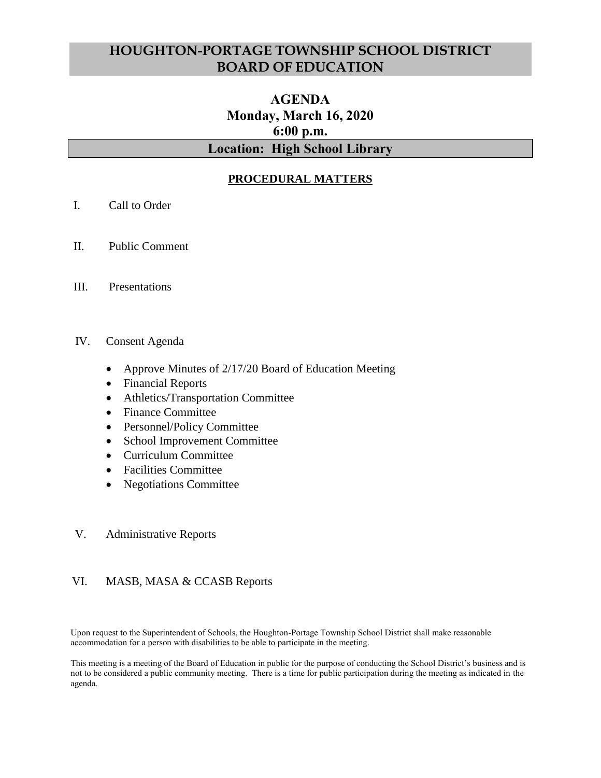# **HOUGHTON-PORTAGE TOWNSHIP SCHOOL DISTRICT BOARD OF EDUCATION**

# **AGENDA Monday, March 16, 2020 6:00 p.m. Location: High School Library**

# **PROCEDURAL MATTERS**

- I. Call to Order
- II. Public Comment
- III. Presentations

#### IV. Consent Agenda

- Approve Minutes of 2/17/20 Board of Education Meeting
- Financial Reports
- Athletics/Transportation Committee
- Finance Committee
- Personnel/Policy Committee
- School Improvement Committee
- Curriculum Committee
- Facilities Committee
- Negotiations Committee

#### V. Administrative Reports

#### VI. MASB, MASA & CCASB Reports

Upon request to the Superintendent of Schools, the Houghton-Portage Township School District shall make reasonable accommodation for a person with disabilities to be able to participate in the meeting.

This meeting is a meeting of the Board of Education in public for the purpose of conducting the School District's business and is not to be considered a public community meeting. There is a time for public participation during the meeting as indicated in the agenda.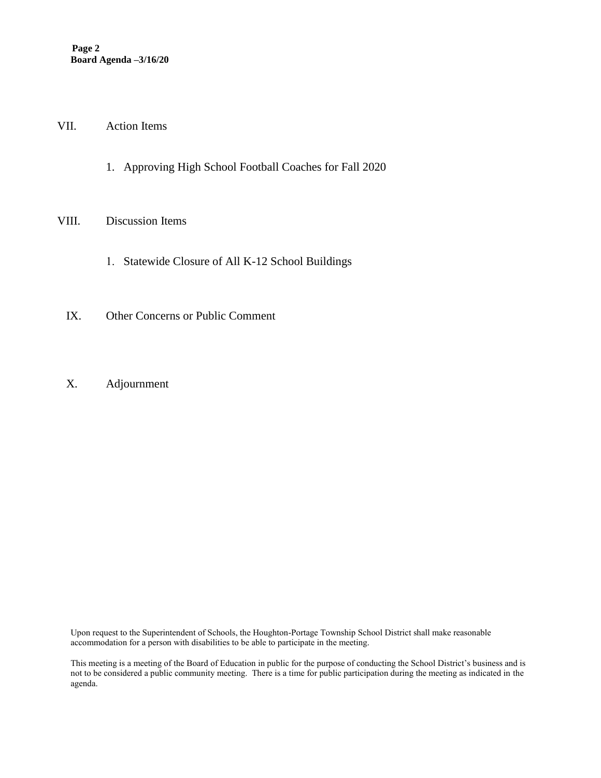#### VII. Action Items

1. Approving High School Football Coaches for Fall 2020

#### VIII. Discussion Items

- 1. Statewide Closure of All K-12 School Buildings
- IX. Other Concerns or Public Comment
- X. Adjournment

Upon request to the Superintendent of Schools, the Houghton-Portage Township School District shall make reasonable accommodation for a person with disabilities to be able to participate in the meeting.

This meeting is a meeting of the Board of Education in public for the purpose of conducting the School District's business and is not to be considered a public community meeting. There is a time for public participation during the meeting as indicated in the agenda.